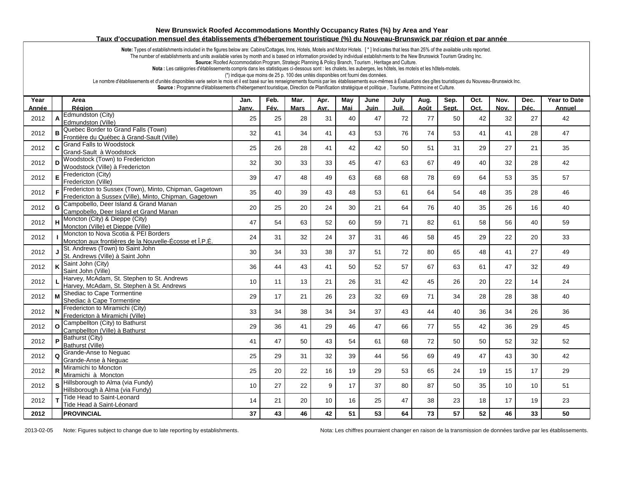## **New Brunswick Roofed Accommodations Monthly Occupancy Rates (%) by Area and Year Taux d'occupation mensuel des établissements d'hébergement touristique (%) du Nouveau-Brunswick par région et par année**

Note: Types of establishments included in the figures below are: Cabins/Cottages, Inns, Hotels, Motels and Motor Hotels. [\*] Indicates that less than 25% of the available units reported.

The number of establishments and units available varies by month and is based on information provided by individual establishments to the New Brunswick Tourism Grading Inc.

**Source:** Roofed Accommodation Program, Strategic Planning & Policy Branch, Tourism , Heritage and Culture.

Nota : Les catégories d'établissements compris dans les statistiques ci-dessous sont : les chalets, les auberges, les hôtels, les motels et les hôtels-motels.

(\*) indique que moins de 25 p. 100 des unités disponibles ont fourni des données.

Le nombre d'établissements et d'unités disponibles varie selon le mois et il est basé sur les renseignements fournis par les établissements eux-mêmes à Évaluations des gîtes touristiques du Nouveau-Brunswick Inc.

**Source :** Programme d'établissements d'hébergement touristique, Direction de Planification stratégique et politique , Tourisme, Patrimo ine et Culture.

| Year  |    | Area                                                                                                             | Jan.  | Feb. | Mar. | Apr. | May | June | July  | Aug. | Sep.  | Oct. | Nov. | Dec. | <b>Year to Date</b> |
|-------|----|------------------------------------------------------------------------------------------------------------------|-------|------|------|------|-----|------|-------|------|-------|------|------|------|---------------------|
| Année |    | Région                                                                                                           | Janv. | Fév. | Mars | Avr. | Mai | Juin | Juil. | Août | Sept. | Oct. | Nov. | Déc. | Annuel              |
| 2012  |    | Edmundston (City)<br>Edmundston (Ville)                                                                          | 25    | 25   | 28   | 31   | 40  | 47   | 72    | 77   | 50    | 42   | 32   | 27   | 42                  |
| 2012  | в  | Quebec Border to Grand Falls (Town)<br>Frontière du Québec à Grand-Sault (Ville)                                 | 32    | 41   | 34   | 41   | 43  | 53   | 76    | 74   | 53    | 41   | 41   | 28   | 47                  |
| 2012  | C  | <b>Grand Falls to Woodstock</b><br>Grand-Sault à Woodstock                                                       | 25    | 26   | 28   | 41   | 42  | 42   | 50    | 51   | 31    | 29   | 27   | 21   | 35                  |
| 2012  |    | Woodstock (Town) to Fredericton<br>Woodstock (Ville) à Fredericton                                               | 32    | 30   | 33   | 33   | 45  | 47   | 63    | 67   | 49    | 40   | 32   | 28   | 42                  |
| 2012  | E  | Fredericton (City)<br>Fredericton (Ville)                                                                        | 39    | 47   | 48   | 49   | 63  | 68   | 68    | 78   | 69    | 64   | 53   | 35   | 57                  |
| 2012  | F  | Fredericton to Sussex (Town), Minto, Chipman, Gagetown<br>Fredericton à Sussex (Ville), Minto, Chipman, Gagetown | 35    | 40   | 39   | 43   | 48  | 53   | 61    | 64   | 54    | 48   | 35   | 28   | 46                  |
| 2012  | G  | Campobello, Deer Island & Grand Manan<br>Campobello, Deer Island et Grand Manan                                  | 20    | 25   | 20   | 24   | 30  | 21   | 64    | 76   | 40    | 35   | 26   | 16   | 40                  |
| 2012  |    | Moncton (City) & Dieppe (City)<br>Moncton (Ville) et Dieppe (Ville)                                              | 47    | 54   | 63   | 52   | 60  | 59   | 71    | 82   | 61    | 58   | 56   | 40   | 59                  |
| 2012  |    | Moncton to Nova Scotia & PEI Borders<br>Moncton aux frontières de la Nouvelle-Écosse et Î.P.É.                   | 24    | 31   | 32   | 24   | 37  | 31   | 46    | 58   | 45    | 29   | 22   | 20   | 33                  |
| 2012  |    | St. Andrews (Town) to Saint John<br>St. Andrews (Ville) à Saint John                                             | 30    | 34   | 33   | 38   | 37  | 51   | 72    | 80   | 65    | 48   | 41   | 27   | 49                  |
| 2012  |    | Saint John (City)<br>Saint John (Ville)                                                                          | 36    | 44   | 43   | 41   | 50  | 52   | 57    | 67   | 63    | 61   | 47   | 32   | 49                  |
| 2012  |    | Harvey, McAdam, St. Stephen to St. Andrews<br>Harvey, McAdam, St. Stephen à St. Andrews                          | 10    | 11   | 13   | 21   | 26  | 31   | 42    | 45   | 26    | 20   | 22   | 14   | 24                  |
| 2012  |    | Shediac to Cape Tormentine<br>Shediac à Cape Tormentine                                                          | 29    | 17   | 21   | 26   | 23  | 32   | 69    | 71   | 34    | 28   | 28   | 38   | 40                  |
| 2012  | N  | Fredericton to Miramichi (City)<br>Fredericton à Miramichi (Ville)                                               | 33    | 34   | 38   | 34   | 34  | 37   | 43    | 44   | 40    | 36   | 34   | 26   | 36                  |
| 2012  | O  | Campbellton (City) to Bathurst<br>Campbellton (Ville) à Bathurst                                                 | 29    | 36   | 41   | 29   | 46  | 47   | 66    | 77   | 55    | 42   | 36   | 29   | 45                  |
| 2012  | P  | Bathurst (City)<br>Bathurst (Ville)                                                                              | 41    | 47   | 50   | 43   | 54  | 61   | 68    | 72   | 50    | 50   | 52   | 32   | 52                  |
| 2012  | Q  | Grande-Anse to Neguac<br>Grande-Anse à Nequac                                                                    | 25    | 29   | 31   | 32   | 39  | 44   | 56    | 69   | 49    | 47   | 43   | 30   | 42                  |
| 2012  |    | Miramichi to Moncton<br>Miramichi à Moncton                                                                      | 25    | 20   | 22   | 16   | 19  | 29   | 53    | 65   | 24    | 19   | 15   | 17   | 29                  |
| 2012  | S. | Hillsborough to Alma (via Fundy)<br>Hillsborough à Alma (via Fundy)                                              | 10    | 27   | 22   | 9    | 17  | 37   | 80    | 87   | 50    | 35   | 10   | 10   | 51                  |
| 2012  |    | Tide Head to Saint-Leonard<br>Tide Head à Saint-Léonard                                                          | 14    | 21   | 20   | 10   | 16  | 25   | 47    | 38   | 23    | 18   | 17   | 19   | 23                  |
| 2012  |    | <b>PROVINCIAL</b>                                                                                                | 37    | 43   | 46   | 42   | 51  | 53   | 64    | 73   | 57    | 52   | 46   | 33   | 50                  |

2013-02-05 Note: Figures subject to change due to late reporting by establishments. Nota: Les chiffres pourraient changer en raison de la transmission de données tardive par les établissements.